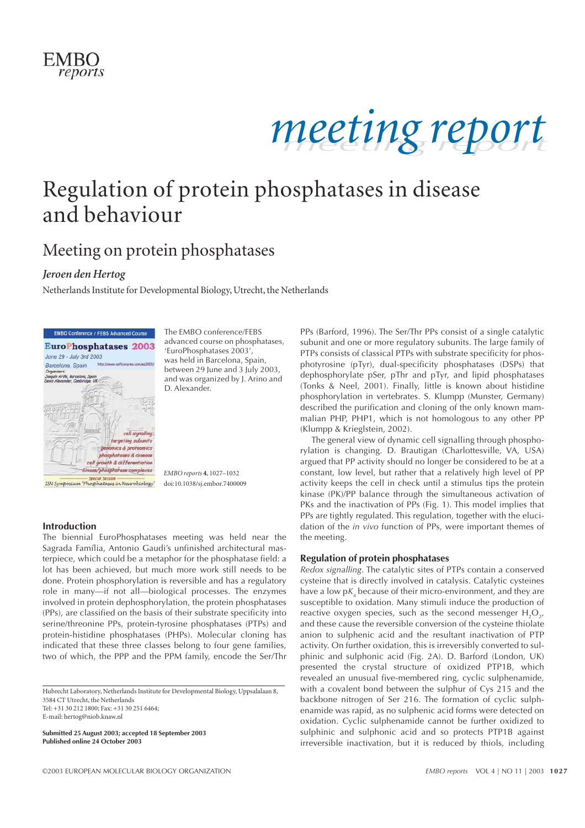



# Regulation of protein phosphatases in disease and behaviour

### Meeting on protein phosphatases

### *Jeroen den Hertog*

Netherlands Institute for Developmental Biology, Utrecht, the Netherlands



The EMBO conference/FEBS advanced course on phosphatases, 'EuroPhosphatases 2003', was held in Barcelona, Spain, between 29 June and 3 July 2003, and was organized by J. Arino and D. Alexander.

*EMBO reports* **4**, 1027–1032 doi:10.1038/sj.embor.7400009

#### **Introduction**

The biennial EuroPhosphatases meeting was held near the Sagrada Família, Antonio Gaudi's unfinished architectural masterpiece, which could be a metaphor for the phosphatase field: a lot has been achieved, but much more work still needs to be done. Protein phosphorylation is reversible and has a regulatory role in many—if not all—biological processes. The enzymes involved in protein dephosphorylation, the protein phosphatases (PPs), are classified on the basis of their substrate specificity into serine/threonine PPs, protein-tyrosine phosphatases (PTPs) and protein-histidine phosphatases (PHPs). Molecular cloning has indicated that these three classes belong to four gene families, two of which, the PPP and the PPM family, encode the Ser/Thr

Hubrecht Laboratory, Netherlands Institute for Developmental Biology, Uppsalalaan 8, 3584 CT Utrecht, the Netherlands Tel: +31 30 212 1800; Fax: +31 30 251 6464; E-mail: hertog@niob.knaw.nl

**Submitted 25 August 2003; accepted 18 September 2003 Published online 24 October 2003**

PPs (Barford, 1996). The Ser/Thr PPs consist of a single catalytic subunit and one or more regulatory subunits. The large family of PTPs consists of classical PTPs with substrate specificity for phosphotyrosine (pTyr), dual-specificity phosphatases (DSPs) that dephosphorylate pSer, pThr and pTyr, and lipid phosphatases (Tonks & Neel, 2001). Finally, little is known about histidine phosphorylation in vertebrates. S. Klumpp (Munster, Germany) described the purification and cloning of the only known mammalian PHP, PHP1, which is not homologous to any other PP (Klumpp & Krieglstein, 2002).

The general view of dynamic cell signalling through phosphorylation is changing. D. Brautigan (Charlottesville, VA, USA) argued that PP activity should no longer be considered to be at a constant, low level, but rather that a relatively high level of PP activity keeps the cell in check until a stimulus tips the protein kinase (PK)/PP balance through the simultaneous activation of PKs and the inactivation of PPs (Fig. 1). This model implies that PPs are tightly regulated. This regulation, together with the elucidation of the *in vivo* function of PPs, were important themes of the meeting.

#### **Regulation of protein phosphatases**

*Redox signalling*. The catalytic sites of PTPs contain a conserved cysteine that is directly involved in catalysis. Catalytic cysteines have a low p*K*<sub>s</sub> because of their micro-environment, and they are susceptible to oxidation. Many stimuli induce the production of reactive oxygen species, such as the second messenger  $H_2O_{2}$ , and these cause the reversible conversion of the cysteine thiolate anion to sulphenic acid and the resultant inactivation of PTP activity. On further oxidation, this is irreversibly converted to sulphinic and sulphonic acid (Fig. 2A). D. Barford (London, UK) presented the crystal structure of oxidized PTP1B, which revealed an unusual five-membered ring, cyclic sulphenamide, with a covalent bond between the sulphur of Cys 215 and the backbone nitrogen of Ser 216. The formation of cyclic sulphenamide was rapid, as no sulphenic acid forms were detected on oxidation. Cyclic sulphenamide cannot be further oxidized to sulphinic and sulphonic acid and so protects PTP1B against irreversible inactivation, but it is reduced by thiols, including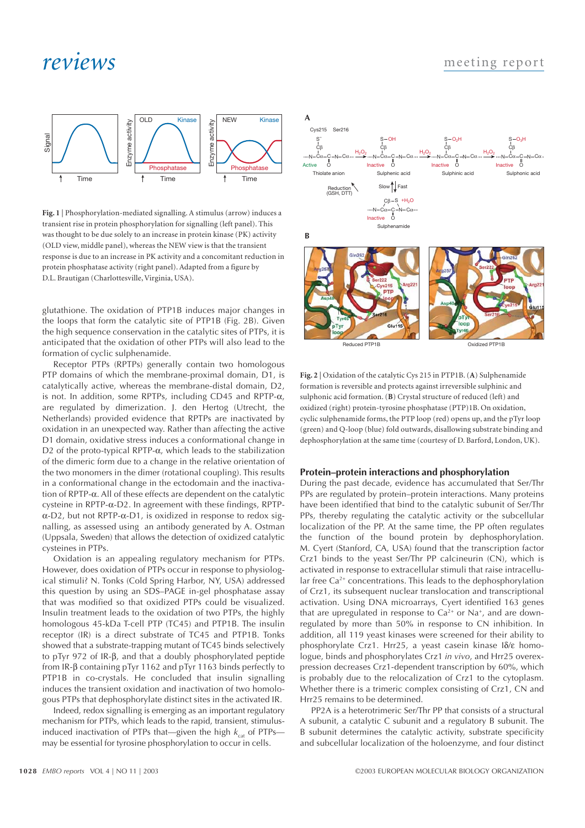### *reviews*



**Fig. 1** | Phosphorylation-mediated signalling. A stimulus (arrow) induces a transient rise in protein phosphorylation for signalling (left panel). This was thought to be due solely to an increase in protein kinase (PK) activity (OLD view, middle panel), whereas the NEW view is that the transient response is due to an increase in PK activity and a concomitant reduction in protein phosphatase activity (right panel). Adapted from a figure by D.L. Brautigan (Charlottesville, Virginia, USA).

glutathione. The oxidation of PTP1B induces major changes in the loops that form the catalytic site of PTP1B (Fig. 2B). Given the high sequence conservation in the catalytic sites of PTPs, it is anticipated that the oxidation of other PTPs will also lead to the formation of cyclic sulphenamide.

Receptor PTPs (RPTPs) generally contain two homologous PTP domains of which the membrane-proximal domain, D1, is catalytically active, whereas the membrane-distal domain, D2, is not. In addition, some RPTPs, including CD45 and RPTP-α, are regulated by dimerization. J. den Hertog (Utrecht, the Netherlands) provided evidence that RPTPs are inactivated by oxidation in an unexpected way. Rather than affecting the active D1 domain, oxidative stress induces a conformational change in D2 of the proto-typical RPTP- $\alpha$ , which leads to the stabilization of the dimeric form due to a change in the relative orientation of the two monomers in the dimer (rotational coupling). This results in a conformational change in the ectodomain and the inactivation of RPTP-α. All of these effects are dependent on the catalytic cysteine in RPTP-α-D2. In agreement with these findings, RPTPα-D2, but not RPTP-α-D1, is oxidized in response to redox signalling, as assessed using an antibody generated by A. Ostman (Uppsala, Sweden) that allows the detection of oxidized catalytic cysteines in PTPs.

Oxidation is an appealing regulatory mechanism for PTPs. However, does oxidation of PTPs occur in response to physiological stimuli? N. Tonks (Cold Spring Harbor, NY, USA) addressed this question by using an SDS–PAGE in-gel phosphatase assay that was modified so that oxidized PTPs could be visualized. Insulin treatment leads to the oxidation of two PTPs, the highly homologous 45-kDa T-cell PTP (TC45) and PTP1B. The insulin receptor (IR) is a direct substrate of TC45 and PTP1B. Tonks showed that a substrate-trapping mutant of TC45 binds selectively to pTyr 972 of IR-β, and that a doubly phosphorylated peptide from IR-β containing pTyr 1162 and pTyr 1163 binds perfectly to PTP1B in co-crystals. He concluded that insulin signalling induces the transient oxidation and inactivation of two homologous PTPs that dephosphorylate distinct sites in the activated IR.

Indeed, redox signalling is emerging as an important regulatory mechanism for PTPs, which leads to the rapid, transient, stimulusinduced inactivation of PTPs that—given the high  $k_{\text{cat}}$  of PTPsmay be essential for tyrosine phosphorylation to occur in cells.



Reduced PTP1B Oxidized PTP1B

**Fig. 2** | Oxidation of the catalytic Cys 215 in PTP1B. (**A**) Sulphenamide formation is reversible and protects against irreversible sulphinic and sulphonic acid formation. (**B**) Crystal structure of reduced (left) and oxidized (right) protein-tyrosine phosphatase (PTP)1B. On oxidation, cyclic sulphenamide forms, the PTP loop (red) opens up, and the pTyr loop (green) and Q-loop (blue) fold outwards, disallowing substrate binding and dephosphorylation at the same time (courtesy of D. Barford, London, UK).

#### **Protein–protein interactions and phosphorylation**

During the past decade, evidence has accumulated that Ser/Thr PPs are regulated by protein–protein interactions. Many proteins have been identified that bind to the catalytic subunit of Ser/Thr PPs, thereby regulating the catalytic activity or the subcellular localization of the PP. At the same time, the PP often regulates the function of the bound protein by dephosphorylation. M. Cyert (Stanford, CA, USA) found that the transcription factor Crz1 binds to the yeast Ser/Thr PP calcineurin (CN), which is activated in response to extracellular stimuli that raise intracellular free  $Ca^{2+}$  concentrations. This leads to the dephosphorylation of Crz1, its subsequent nuclear translocation and transcriptional activation. Using DNA microarrays, Cyert identified 163 genes that are upregulated in response to  $Ca^{2+}$  or Na<sup>+</sup>, and are downregulated by more than 50% in response to CN inhibition. In addition, all 119 yeast kinases were screened for their ability to phosphorylate Crz1. Hrr25, a yeast casein kinase Iδ/ε homologue, binds and phosphorylates Crz1 *in vivo*, and Hrr25 overexpression decreases Crz1-dependent transcription by 60%, which is probably due to the relocalization of Crz1 to the cytoplasm. Whether there is a trimeric complex consisting of Crz1, CN and Hrr25 remains to be determined.

PP2A is a heterotrimeric Ser/Thr PP that consists of a structural A subunit, a catalytic C subunit and a regulatory B subunit. The B subunit determines the catalytic activity, substrate specificity and subcellular localization of the holoenzyme, and four distinct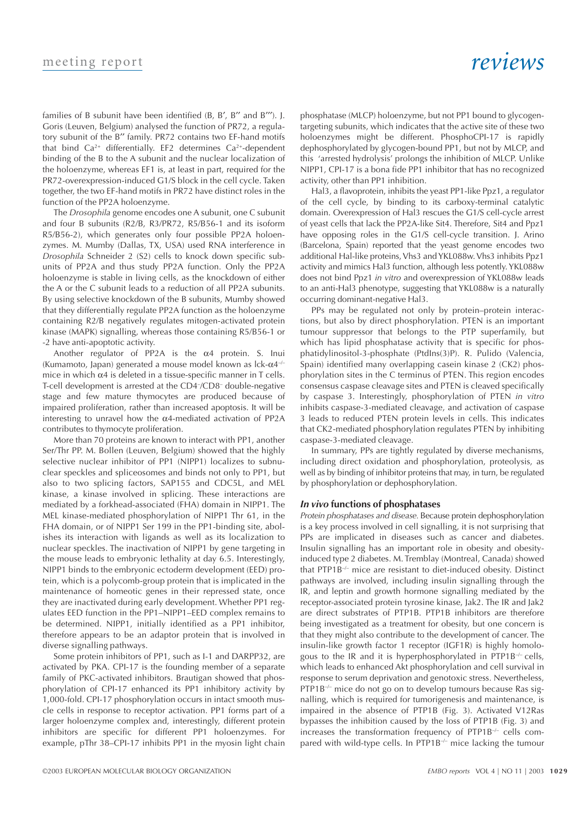families of B subunit have been identified (B, B′, B′′ and B′′′). J. Goris (Leuven, Belgium) analysed the function of PR72, a regulatory subunit of the B′′ family. PR72 contains two EF-hand motifs that bind  $Ca^{2+}$  differentially. EF2 determines  $Ca^{2+}$ -dependent binding of the B to the A subunit and the nuclear localization of the holoenzyme, whereas EF1 is, at least in part, required for the PR72-overexpression-induced G1/S block in the cell cycle. Taken together, the two EF-hand motifs in PR72 have distinct roles in the function of the PP2A holoenzyme.

The *Drosophila* genome encodes one A subunit, one C subunit and four B subunits (R2/B, R3/PR72, R5/B56-1 and its isoform R5/B56-2), which generates only four possible PP2A holoenzymes. M. Mumby (Dallas, TX, USA) used RNA interference in *Drosophila* Schneider 2 (S2) cells to knock down specific subunits of PP2A and thus study PP2A function. Only the PP2A holoenzyme is stable in living cells, as the knockdown of either the A or the C subunit leads to a reduction of all PP2A subunits. By using selective knockdown of the B subunits, Mumby showed that they differentially regulate PP2A function as the holoenzyme containing R2/B negatively regulates mitogen-activated protein kinase (MAPK) signalling, whereas those containing R5/B56-1 or -2 have anti-apoptotic activity.

Another regulator of PP2A is the  $\alpha$ 4 protein. S. Inui (Kumamoto, Japan) generated a mouse model known as  $lck-\alpha 4^{-1}$ mice in which  $\alpha$ 4 is deleted in a tissue-specific manner in T cells. T-cell development is arrested at the CD4– /CD8– double-negative stage and few mature thymocytes are produced because of impaired proliferation, rather than increased apoptosis. It will be interesting to unravel how the  $\alpha$ 4-mediated activation of PP2A contributes to thymocyte proliferation.

More than 70 proteins are known to interact with PP1, another Ser/Thr PP. M. Bollen (Leuven, Belgium) showed that the highly selective nuclear inhibitor of PP1 (NIPP1) localizes to subnuclear speckles and spliceosomes and binds not only to PP1, but also to two splicing factors, SAP155 and CDC5L, and MEL kinase, a kinase involved in splicing. These interactions are mediated by a forkhead-associated (FHA) domain in NIPP1. The MEL kinase-mediated phosphorylation of NIPP1 Thr 61, in the FHA domain, or of NIPP1 Ser 199 in the PP1-binding site, abolishes its interaction with ligands as well as its localization to nuclear speckles. The inactivation of NIPP1 by gene targeting in the mouse leads to embryonic lethality at day 6.5. Interestingly, NIPP1 binds to the embryonic ectoderm development (EED) protein, which is a polycomb-group protein that is implicated in the maintenance of homeotic genes in their repressed state, once they are inactivated during early development. Whether PP1 regulates EED function in the PP1–NIPP1–EED complex remains to be determined. NIPP1, initially identified as a PP1 inhibitor, therefore appears to be an adaptor protein that is involved in diverse signalling pathways.

Some protein inhibitors of PP1, such as I-1 and DARPP32, are activated by PKA. CPI-17 is the founding member of a separate family of PKC-activated inhibitors. Brautigan showed that phosphorylation of CPI-17 enhanced its PP1 inhibitory activity by 1,000-fold. CPI-17 phosphorylation occurs in intact smooth muscle cells in response to receptor activation. PP1 forms part of a larger holoenzyme complex and, interestingly, different protein inhibitors are specific for different PP1 holoenzymes. For example, pThr 38–CPI-17 inhibits PP1 in the myosin light chain

### *reviews*

phosphatase (MLCP) holoenzyme, but not PP1 bound to glycogentargeting subunits, which indicates that the active site of these two holoenzymes might be different. PhosphoCPI-17 is rapidly dephosphorylated by glycogen-bound PP1, but not by MLCP, and this 'arrested hydrolysis' prolongs the inhibition of MLCP. Unlike NIPP1, CPI-17 is a bona fide PP1 inhibitor that has no recognized activity, other than PP1 inhibition.

Hal3, a flavoprotein, inhibits the yeast PP1-like Ppz1, a regulator of the cell cycle, by binding to its carboxy-terminal catalytic domain. Overexpression of Hal3 rescues the G1/S cell-cycle arrest of yeast cells that lack the PP2A-like Sit4. Therefore, Sit4 and Ppz1 have opposing roles in the G1/S cell-cycle transition. J. Arino (Barcelona, Spain) reported that the yeast genome encodes two additional Hal-like proteins, Vhs3 and YKL088w. Vhs3 inhibits Ppz1 activity and mimics Hal3 function, although less potently. YKL088w does not bind Ppz1 *in vitro* and overexpression of YKL088w leads to an anti-Hal3 phenotype, suggesting that YKL088w is a naturally occurring dominant-negative Hal3.

PPs may be regulated not only by protein–protein interactions, but also by direct phosphorylation. PTEN is an important tumour suppressor that belongs to the PTP superfamily, but which has lipid phosphatase activity that is specific for phosphatidylinositol-3-phosphate (PtdIns(3)P). R. Pulido (Valencia, Spain) identified many overlapping casein kinase 2 (CK2) phosphorylation sites in the C terminus of PTEN. This region encodes consensus caspase cleavage sites and PTEN is cleaved specifically by caspase 3. Interestingly, phosphorylation of PTEN *in vitro* inhibits caspase-3-mediated cleavage, and activation of caspase 3 leads to reduced PTEN protein levels in cells. This indicates that CK2-mediated phosphorylation regulates PTEN by inhibiting caspase-3-mediated cleavage.

In summary, PPs are tightly regulated by diverse mechanisms, including direct oxidation and phosphorylation, proteolysis, as well as by binding of inhibitor proteins that may, in turn, be regulated by phosphorylation or dephosphorylation.

#### *In vivo* **functions of phosphatases**

*Protein phosphatases and disease.* Because protein dephosphorylation is a key process involved in cell signalling, it is not surprising that PPs are implicated in diseases such as cancer and diabetes. Insulin signalling has an important role in obesity and obesityinduced type 2 diabetes. M. Tremblay (Montreal, Canada) showed that PTP1B<sup>-/-</sup> mice are resistant to diet-induced obesity. Distinct pathways are involved, including insulin signalling through the IR, and leptin and growth hormone signalling mediated by the receptor-associated protein tyrosine kinase, Jak2. The IR and Jak2 are direct substrates of PTP1B. PTP1B inhibitors are therefore being investigated as a treatment for obesity, but one concern is that they might also contribute to the development of cancer. The insulin-like growth factor 1 receptor (IGF1R) is highly homologous to the IR and it is hyperphosphorylated in  $PTP1B^{-/-}$  cells, which leads to enhanced Akt phosphorylation and cell survival in response to serum deprivation and genotoxic stress. Nevertheless, PTP1B<sup>-/-</sup> mice do not go on to develop tumours because Ras signalling, which is required for tumorigenesis and maintenance, is impaired in the absence of PTP1B (Fig. 3). Activated V12Ras bypasses the inhibition caused by the loss of PTP1B (Fig. 3) and increases the transformation frequency of PTP1B–/– cells compared with wild-type cells. In PTP1B $\div$  mice lacking the tumour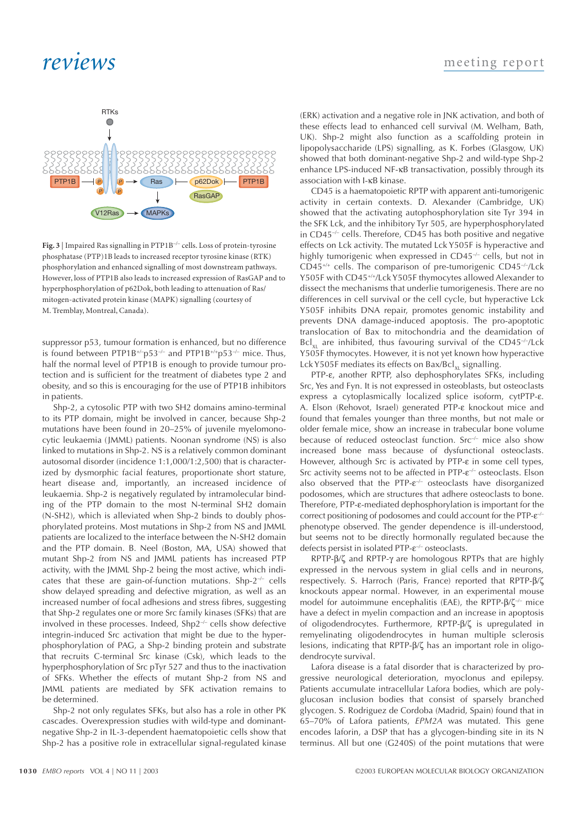## *reviews*



**Fig. 3** | Impaired Ras signalling in PTP1B–/– cells. Loss of protein-tyrosine phosphatase (PTP)1B leads to increased receptor tyrosine kinase (RTK) phosphorylation and enhanced signalling of most downstream pathways. However, loss of PTP1B also leads to increased expression of RasGAP and to hyperphosphorylation of p62Dok, both leading to attenuation of Ras/ mitogen-activated protein kinase (MAPK) signalling (courtesy of M. Tremblay, Montreal, Canada).

suppressor p53, tumour formation is enhanced, but no difference is found between PTP1B<sup>+/-</sup>p53<sup>-/-</sup> and PTP1B<sup>+/+</sup>p53<sup>-/-</sup> mice. Thus, half the normal level of PTP1B is enough to provide tumour protection and is sufficient for the treatment of diabetes type 2 and obesity, and so this is encouraging for the use of PTP1B inhibitors in patients.

Shp-2, a cytosolic PTP with two SH2 domains amino-terminal to its PTP domain, might be involved in cancer, because Shp-2 mutations have been found in 20–25% of juvenile myelomonocytic leukaemia (JMML) patients. Noonan syndrome (NS) is also linked to mutations in Shp-2. NS is a relatively common dominant autosomal disorder (incidence 1:1,000/1:2,500) that is characterized by dysmorphic facial features, proportionate short stature, heart disease and, importantly, an increased incidence of leukaemia. Shp-2 is negatively regulated by intramolecular binding of the PTP domain to the most N-terminal SH2 domain (N-SH2), which is alleviated when Shp-2 binds to doubly phosphorylated proteins. Most mutations in Shp-2 from NS and JMML patients are localized to the interface between the N-SH2 domain and the PTP domain. B. Neel (Boston, MA, USA) showed that mutant Shp-2 from NS and JMML patients has increased PTP activity, with the JMML Shp-2 being the most active, which indicates that these are gain-of-function mutations. Shp- $2^{-/-}$  cells show delayed spreading and defective migration, as well as an increased number of focal adhesions and stress fibres, suggesting that Shp-2 regulates one or more Src family kinases (SFKs) that are involved in these processes. Indeed,  $Shp2^{-/-}$  cells show defective integrin-induced Src activation that might be due to the hyperphosphorylation of PAG, a Shp-2 binding protein and substrate that recruits C-terminal Src kinase (Csk), which leads to the hyperphosphorylation of Src pTyr 527 and thus to the inactivation of SFKs. Whether the effects of mutant Shp-2 from NS and JMML patients are mediated by SFK activation remains to be determined.

Shp-2 not only regulates SFKs, but also has a role in other PK cascades. Overexpression studies with wild-type and dominantnegative Shp-2 in IL-3-dependent haematopoietic cells show that Shp-2 has a positive role in extracellular signal-regulated kinase

(ERK) activation and a negative role in JNK activation, and both of these effects lead to enhanced cell survival (M. Welham, Bath, UK). Shp-2 might also function as a scaffolding protein in lipopolysaccharide (LPS) signalling, as K. Forbes (Glasgow, UK) showed that both dominant-negative Shp-2 and wild-type Shp-2 enhance LPS-induced NF-κB transactivation, possibly through its association with I-κB kinase.

CD45 is a haematopoietic RPTP with apparent anti-tumorigenic activity in certain contexts. D. Alexander (Cambridge, UK) showed that the activating autophosphorylation site Tyr 394 in the SFK Lck, and the inhibitory Tyr 505, are hyperphosphorylated in CD45–/– cells. Therefore, CD45 has both positive and negative effects on Lck activity. The mutated Lck Y505F is hyperactive and highly tumorigenic when expressed in CD45<sup>-/-</sup> cells, but not in  $CD45^{+/+}$  cells. The comparison of pre-tumorigenic  $CD45^{-/-}/Lck$ Y505F with CD45+/+/Lck Y505F thymocytes allowed Alexander to dissect the mechanisms that underlie tumorigenesis. There are no differences in cell survival or the cell cycle, but hyperactive Lck Y505F inhibits DNA repair, promotes genomic instability and prevents DNA damage-induced apoptosis. The pro-apoptotic translocation of Bax to mitochondria and the deamidation of  $Bcl_{y1}$  are inhibited, thus favouring survival of the CD45<sup>-/-</sup>/Lck Y505F thymocytes. However, it is not yet known how hyperactive Lck Y505F mediates its effects on Bax/Bcl<sub>x1</sub> signalling.

PTP-ε, another RPTP, also dephosphorylates SFKs, including Src, Yes and Fyn. It is not expressed in osteoblasts, but osteoclasts express a cytoplasmically localized splice isoform, cytPTP-ε. A. Elson (Rehovot, Israel) generated PTP-ε knockout mice and found that females younger than three months, but not male or older female mice, show an increase in trabecular bone volume because of reduced osteoclast function. Src<sup>-/-</sup> mice also show increased bone mass because of dysfunctional osteoclasts. However, although Src is activated by PTP-ε in some cell types, Src activity seems not to be affected in PTP-ε–/– osteoclasts. Elson also observed that the  $PTP-\varepsilon^2$  osteoclasts have disorganized podosomes, which are structures that adhere osteoclasts to bone. Therefore, PTP-ε-mediated dephosphorylation is important for the correct positioning of podosomes and could account for the PTP-ε<sup>-/-</sup> phenotype observed. The gender dependence is ill-understood, but seems not to be directly hormonally regulated because the defects persist in isolated PTP-ε<sup>-/-</sup> osteoclasts.

RPTP-β/ζ and RPTP-γ are homologous RPTPs that are highly expressed in the nervous system in glial cells and in neurons, respectively. S. Harroch (Paris, France) reported that RPTP-β/ζ knockouts appear normal. However, in an experimental mouse model for autoimmune encephalitis (EAE), the RPTP-β/ζ<sup>-/-</sup> mice have a defect in myelin compaction and an increase in apoptosis of oligodendrocytes. Furthermore, RPTP-β/ζ is upregulated in remyelinating oligodendrocytes in human multiple sclerosis lesions, indicating that RPTP-β/ζ has an important role in oligodendrocyte survival.

Lafora disease is a fatal disorder that is characterized by progressive neurological deterioration, myoclonus and epilepsy. Patients accumulate intracellular Lafora bodies, which are polyglucosan inclusion bodies that consist of sparsely branched glycogen. S. Rodriguez de Cordoba (Madrid, Spain) found that in 65–70% of Lafora patients, *EPM2A* was mutated. This gene encodes laforin, a DSP that has a glycogen-binding site in its N terminus. All but one (G240S) of the point mutations that were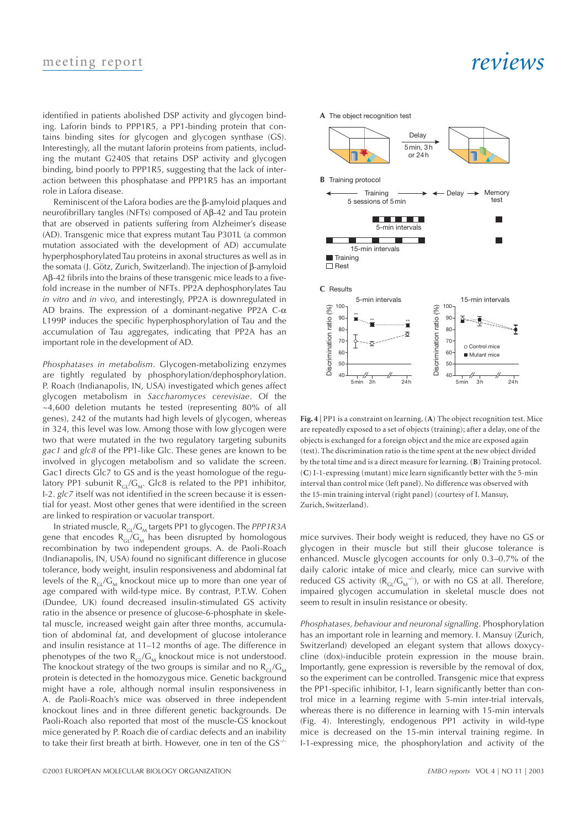### meeting report

identified in patients abolished DSP activity and glycogen binding. Laforin binds to PPP1R5, a PP1-binding protein that contains binding sites for glycogen and glycogen synthase (GS). Interestingly, all the mutant laforin proteins from patients, including the mutant G240S that retains DSP activity and glycogen binding, bind poorly to PPP1R5, suggesting that the lack of interaction between this phosphatase and PPP1R5 has an important role in Lafora disease.

Reminiscent of the Lafora bodies are the β-amyloid plaques and neurofibrillary tangles (NFTs) composed of Aβ-42 and Tau protein that are observed in patients suffering from Alzheimer's disease (AD). Transgenic mice that express mutant Tau P301L (a common mutation associated with the development of AD) accumulate hyperphosphorylated Tau proteins in axonal structures as well as in the somata (J. Götz, Zurich, Switzerland). The injection of β-amyloid Aβ-42 fibrils into the brains of these transgenic mice leads to a fivefold increase in the number of NFTs. PP2A dephosphorylates Tau *in vitro* and *in vivo*, and interestingly, PP2A is downregulated in AD brains. The expression of a dominant-negative PP2A C-α L199P induces the specific hyperphosphorylation of Tau and the accumulation of Tau aggregates, indicating that PP2A has an important role in the development of AD.

*Phosphatases in metabolism*. Glycogen-metabolizing enzymes are tightly regulated by phosphorylation/dephosphorylation. P. Roach (Indianapolis, IN, USA) investigated which genes affect glycogen metabolism in *Saccharomyces cerevisiae*. Of the ~4,600 deletion mutants he tested (representing 80% of all genes), 242 of the mutants had high levels of glycogen, whereas in 324, this level was low. Among those with low glycogen were two that were mutated in the two regulatory targeting subunits *gac1* and *glc8* of the PP1-like Glc. These genes are known to be involved in glycogen metabolism and so validate the screen. Gac1 directs Glc7 to GS and is the yeast homologue of the regulatory PP1 subunit  $R_G/G_M$ . Glc8 is related to the PP1 inhibitor, I-2. *glc7* itself was not identified in the screen because it is essential for yeast. Most other genes that were identified in the screen are linked to respiration or vacuolar transport.

In striated muscle,  $R_{\text{GL}}/G_M$  targets PP1 to glycogen. The *PPP1R3A* gene that encodes  $R_{GI}/G_M$  has been disrupted by homologous recombination by two independent groups. A. de Paoli-Roach (Indianapolis, IN, USA) found no significant difference in glucose tolerance, body weight, insulin responsiveness and abdominal fat levels of the  $R_{\text{GL}}/G_M$  knockout mice up to more than one year of age compared with wild-type mice. By contrast, P.T.W. Cohen (Dundee, UK) found decreased insulin-stimulated GS activity ratio in the absence or presence of glucose-6-phosphate in skeletal muscle, increased weight gain after three months, accumulation of abdominal fat, and development of glucose intolerance and insulin resistance at 11–12 months of age. The difference in phenotypes of the two  $R_{GL}/G_M$  knockout mice is not understood. The knockout strategy of the two groups is similar and no  $R_{\text{GL}}/G_{\text{M}}$ protein is detected in the homozygous mice. Genetic background might have a role, although normal insulin responsiveness in A. de Paoli-Roach's mice was observed in three independent knockout lines and in three different genetic backgrounds. De Paoli-Roach also reported that most of the muscle-GS knockout mice generated by P. Roach die of cardiac defects and an inability to take their first breath at birth. However, one in ten of the GS–/–

### *reviews*



**Fig. 4** | PP1 is a constraint on learning. (**A**) The object recognition test. Mice are repeatedly exposed to a set of objects (training); after a delay, one of the objects is exchanged for a foreign object and the mice are exposed again (test). The discrimination ratio is the time spent at the new object divided by the total time and is a direct measure for learning. (**B**) Training protocol. (**C**) I-1-expressing (mutant) mice learn significantly better with the 5-min interval than control mice (left panel). No difference was observed with the 15-min training interval (right panel) (courtesy of I. Mansuy, Zurich, Switzerland).

mice survives. Their body weight is reduced, they have no GS or glycogen in their muscle but still their glucose tolerance is enhanced. Muscle glycogen accounts for only 0.3–0.7% of the daily caloric intake of mice and clearly, mice can survive with reduced GS activity ( $R_{\text{GL}}/G_{\text{M}}^{-/-}$ ), or with no GS at all. Therefore, impaired glycogen accumulation in skeletal muscle does not seem to result in insulin resistance or obesity.

*Phosphatases, behaviour and neuronal signalling*. Phosphorylation has an important role in learning and memory. I. Mansuy (Zurich, Switzerland) developed an elegant system that allows doxycycline (dox)-inducible protein expression in the mouse brain. Importantly, gene expression is reversible by the removal of dox, so the experiment can be controlled. Transgenic mice that express the PP1-specific inhibitor, I-1, learn significantly better than control mice in a learning regime with 5-min inter-trial intervals, whereas there is no difference in learning with 15-min intervals (Fig. 4). Interestingly, endogenous PP1 activity in wild-type mice is decreased on the 15-min interval training regime. In I-1-expressing mice, the phosphorylation and activity of the